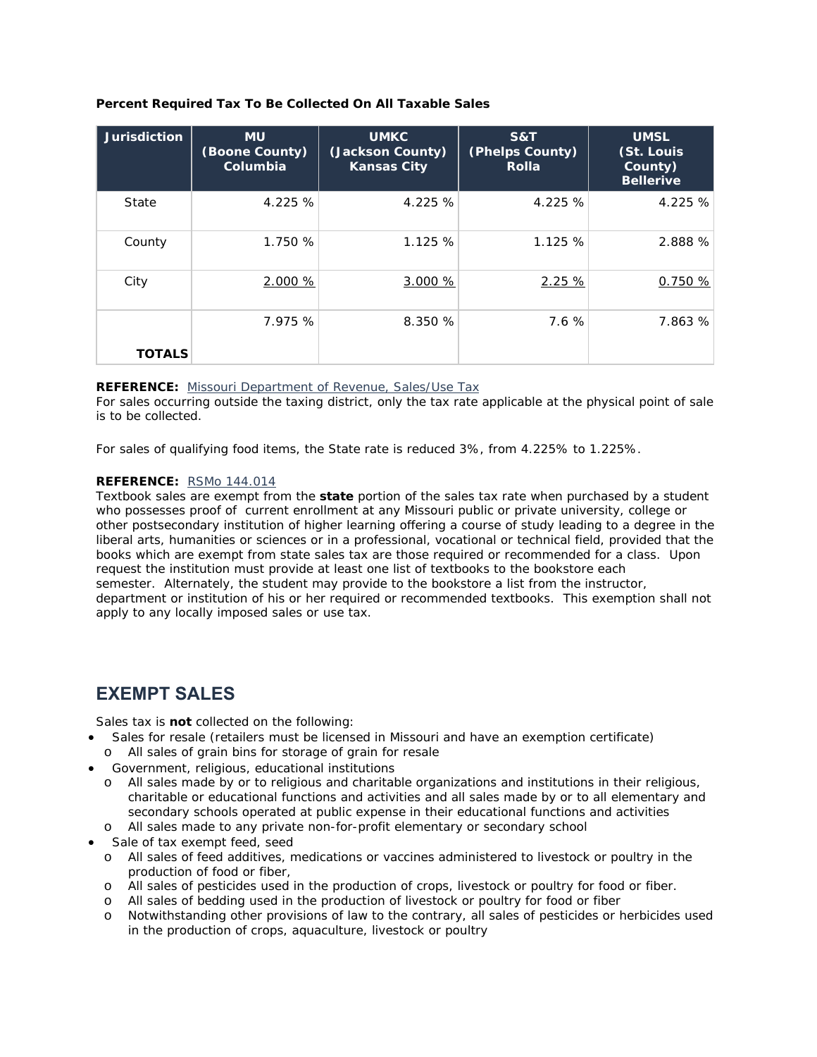## **Percent Required Tax To Be Collected On All Taxable Sales**

| <b>Jurisdiction</b> | <b>MU</b><br>(Boone County)<br>Columbia | <b>UMKC</b><br>(Jackson County)<br><b>Kansas City</b> | S&T<br>(Phelps County)<br><b>Rolla</b> | <b>UMSL</b><br>(St. Louis<br>County)<br><b>Bellerive</b> |
|---------------------|-----------------------------------------|-------------------------------------------------------|----------------------------------------|----------------------------------------------------------|
| State               | 4.225 %                                 | 4.225 %                                               | 4.225 %                                | 4.225 %                                                  |
| County              | 1.750 %                                 | 1.125 %                                               | 1.125 %                                | 2.888 %                                                  |
| City                | 2.000 %                                 | 3.000 %                                               | 2.25%                                  | 0.750%                                                   |
| <b>TOTALS</b>       | 7.975 %                                 | 8.350 %                                               | 7.6 %                                  | 7.863 %                                                  |

## **REFERENCE:** Missouri Department of Revenue, Sales/Use Tax

For sales occurring outside the taxing district, only the tax rate applicable at the physical point of sale is to be collected.

For sales of qualifying food items, the State rate is reduced 3%, from 4.225% to 1.225%.

## **REFERENCE:** RSMo 144.014

Textbook sales are exempt from the **state** portion of the sales tax rate when purchased by a student who possesses proof of current enrollment at any Missouri public or private university, college or other postsecondary institution of higher learning offering a course of study leading to a degree in the liberal arts, humanities or sciences or in a professional, vocational or technical field, provided that the books which are exempt from state sales tax are those required or recommended for a class. Upon request the institution must provide at least one list of textbooks to the bookstore each semester. Alternately, the student may provide to the bookstore a list from the instructor, department or institution of his or her required or recommended textbooks. This exemption shall not apply to any locally imposed sales or use tax.

## **EXEMPT SALES**

Sales tax is **not** collected on the following:

- Sales for resale (retailers must be licensed in Missouri and have an exemption certificate)
	- o All sales of grain bins for storage of grain for resale
- Government, religious, educational institutions
	- o All sales made by or to religious and charitable organizations and institutions in their religious, charitable or educational functions and activities and all sales made by or to all elementary and secondary schools operated at public expense in their educational functions and activities
	- o All sales made to any private non-for-profit elementary or secondary school
- Sale of tax exempt feed, seed
	- o All sales of feed additives, medications or vaccines administered to livestock or poultry in the production of food or fiber,
	- o All sales of pesticides used in the production of crops, livestock or poultry for food or fiber.
	- o All sales of bedding used in the production of livestock or poultry for food or fiber
	- o Notwithstanding other provisions of law to the contrary, all sales of pesticides or herbicides used in the production of crops, aquaculture, livestock or poultry